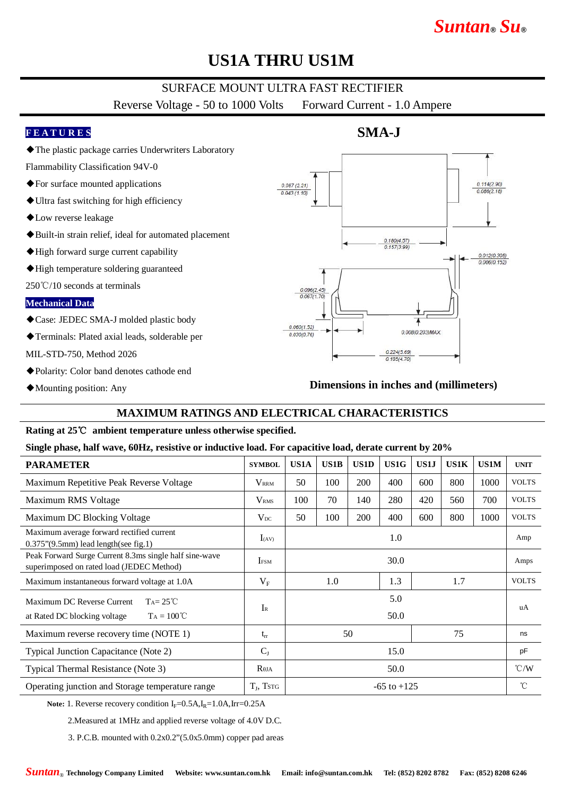# *Suntan***®** *Su***®**

# **US1A THRU US1M**

## SURFACE MOUNT ULTRA FAST RECTIFIER

Reverse Voltage - 50 to 1000 Volts Forward Current - 1.0 Ampere

**SMA-J**

### **F E A T U R E S**

◆The plastic package carries Underwriters Laboratory

Flammability Classification 94V-0

- ◆For surface mounted applications
- ◆Ultra fast switching for high efficiency
- ◆Low reverse leakage
- ◆Built-in strain relief, ideal for automated placement
- ◆High forward surge current capability
- ◆High temperature soldering guaranteed

250℃/10 seconds at terminals

#### **Mechanical Data**

◆Case: JEDEC SMA-J molded plastic body

- ◆Terminals: Plated axial leads, solderable per
- MIL-STD-750, Method 2026
- ◆Polarity: Color band denotes cathode end
- ◆Mounting position: Any

## $0.114(2.90)$  $0.087(2.21)$ 0.086(2.18)  $0.043(1.10)$  $\frac{0.180(4.57)}{0.157(3.99)}$  $0.012(0.305)$  $0.006(0.152)$  $0.096(2.45)$ 0.067/1.70  $0.060(1.52)$ 0.008(0.203)MAX  $0.030(0.76)$  $0.224(5.69)$  $0.185(4.70)$

### **Dimensions in inches and (millimeters)**

### **MAXIMUM RATINGS AND ELECTRICAL CHARACTERISTICS**

#### **Rating at 25**℃ **ambient temperature unless otherwise specified.**

#### **Single phase, half wave, 60Hz, resistive or inductive load. For capacitive load, derate current by 20%**

| <b>PARAMETER</b>                                                                                          | <b>SYMBOL</b>           | US1A            | <b>US1B</b> | US1D | US1G | US1J | <b>US1K</b> | <b>US1M</b> | <b>UNIT</b>   |
|-----------------------------------------------------------------------------------------------------------|-------------------------|-----------------|-------------|------|------|------|-------------|-------------|---------------|
| Maximum Repetitive Peak Reverse Voltage                                                                   | <b>V</b> <sub>RRM</sub> | 50              | 100         | 200  | 400  | 600  | 800         | 1000        | <b>VOLTS</b>  |
| Maximum RMS Voltage                                                                                       | $\rm V_{RMS}$           | 100             | 70          | 140  | 280  | 420  | 560         | 700         | <b>VOLTS</b>  |
| Maximum DC Blocking Voltage                                                                               | $V_{DC}$                | 50              | 100         | 200  | 400  | 600  | 800         | 1000        | <b>VOLTS</b>  |
| Maximum average forward rectified current<br>$0.375$ " $(9.5mm)$ lead length(see fig.1)                   | $I_{(AV)}$              |                 |             |      | 1.0  |      |             |             | Amp           |
| Peak Forward Surge Current 8.3ms single half sine-wave<br>superimposed on rated load (JEDEC Method)       | <b>IFSM</b>             | 30.0            |             |      |      |      |             |             | Amps          |
| Maximum instantaneous forward voltage at 1.0A                                                             | $V_{F}$                 | 1.3<br>1.0      |             |      |      |      | 1.7         |             | <b>VOLTS</b>  |
| Maximum DC Reverse Current<br>$T_A = 25^{\circ}C$<br>$T_A = 100^{\circ}C$<br>at Rated DC blocking voltage | $I_{R}$                 | 5.0<br>50.0     |             |      |      |      |             | uA          |               |
| Maximum reverse recovery time (NOTE 1)                                                                    | $t_{rr}$                | 50              |             |      | 75   |      |             | ns          |               |
| Typical Junction Capacitance (Note 2)                                                                     | $C_{J}$                 | 15.0            |             |      |      |      |             | pF          |               |
| Typical Thermal Resistance (Note 3)                                                                       | $R_{\theta JA}$         | 50.0            |             |      |      |      |             |             | $\degree$ C/W |
| Operating junction and Storage temperature range                                                          | $T_{J}$ , Tstg          | $-65$ to $+125$ |             |      |      |      |             |             | °C            |

Note: 1. Reverse recovery condition I<sub>F</sub>=0.5A,I<sub>R</sub>=1.0A,Irr=0.25A

2.Measured at 1MHz and applied reverse voltage of 4.0V D.C.

3. P.C.B. mounted with 0.2x0.2"(5.0x5.0mm) copper pad areas